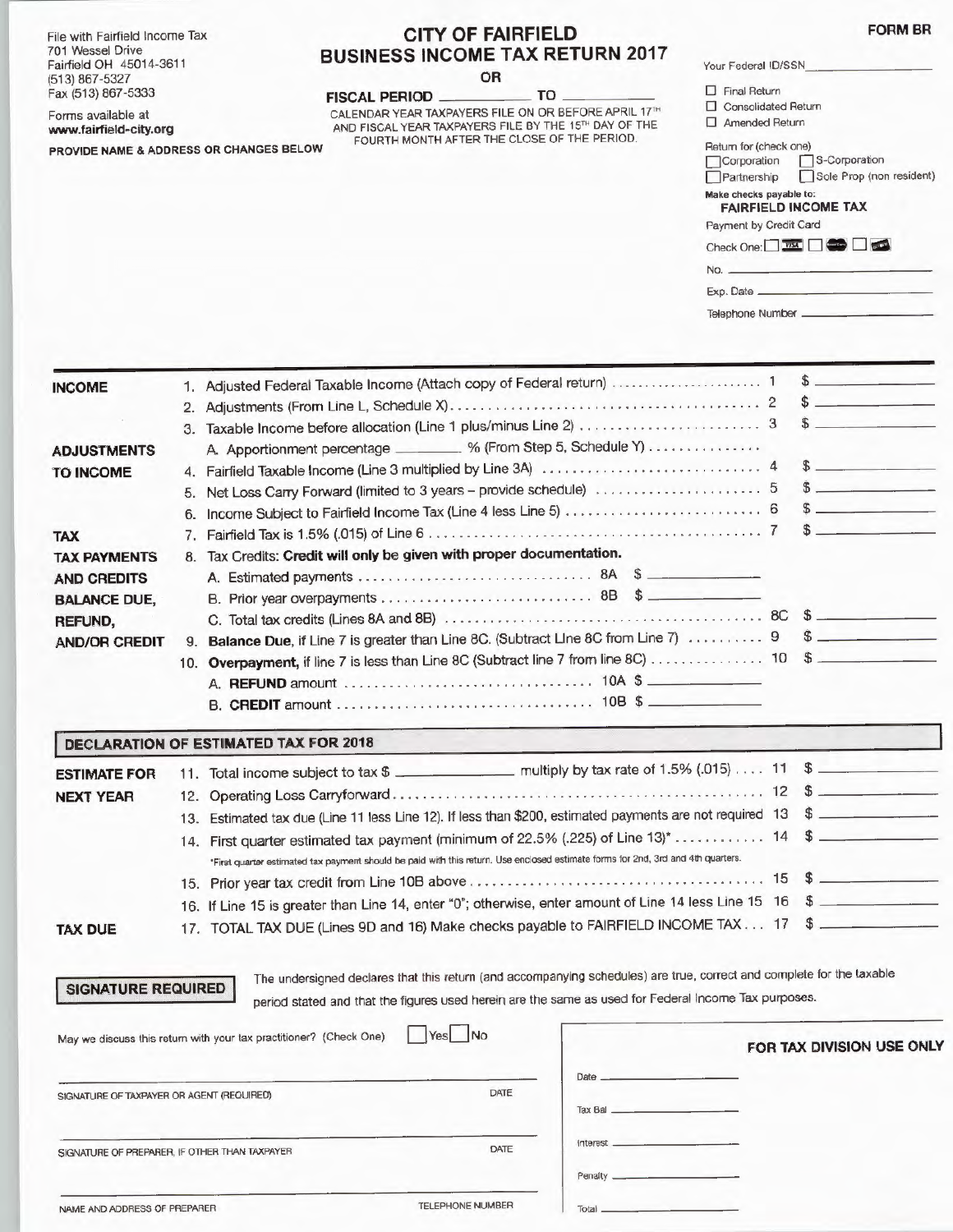File with Fairfield Income Tax 701 Wessel Drive Fairfield OH 45014-361 1 (513) 867-5327 Fax (513) 867-5333 **FISCAL PERIOD FIGULE TO** 

Forms available **at www.fairfield-city.org** 

**INCOME** 

## **CITY OF FAIRFIELD BUSINESS INCOME TAX RETURN 2017**

**FORM BR** 

**OR** 

 $FISCAL$  **PERIOD** CALENDAR YEAR TAXPAYERS FILE ON OR BEFORE APRIL 17'H AND FISCAL YEAR TAXPAYERS FILE BY THE 15TH DAY OF THE **PROVIDE NAME** & **ADDRESS OR CHANGES BELOW**  FOURTH MONTH AFTER THE CLOSE OF THE PERIOD.

|                             | υĸ                                                                                                                                                                                            |                                                                                                                                                                                                                                                                                                                                                                      |
|-----------------------------|-----------------------------------------------------------------------------------------------------------------------------------------------------------------------------------------------|----------------------------------------------------------------------------------------------------------------------------------------------------------------------------------------------------------------------------------------------------------------------------------------------------------------------------------------------------------------------|
| <b>ISS OR CHANGES BELOW</b> | TO.<br><b>FISCAL PERIOD _</b><br>CALENDAR YEAR TAXPAYERS FILE ON OR BEFORE APRIL 17TH<br>AND FISCAL YEAR TAXPAYERS FILE BY THE 15TH DAY OF THE<br>FOURTH MONTH AFTER THE CLOSE OF THE PERIOD. | $\Box$ Final Return<br>$\Box$ Consolidated Return<br>$\Box$ Amended Return<br>Return for (check one)<br>S-Corporation<br>Corporation<br>Sole Prop (non resident)<br>Partnership<br>Make checks payable to:<br><b>FAIRFIELD INCOME TAX</b><br>Payment by Credit Card<br>Check One: $\Box$ WX $\Box$ $\Box$ $\Box$<br>No. $\overline{\phantom{a}}$<br>Telephone Number |
|                             | 1. Adjusted Federal Taxable Income (Attach copy of Federal return)  1                                                                                                                         |                                                                                                                                                                                                                                                                                                                                                                      |

Your Federal ID/SSN

| <b>INCOME</b>        |     | 1. Adiusted Federal Taxable Income (Attach copy of Federal fedini)                                                               |        |
|----------------------|-----|----------------------------------------------------------------------------------------------------------------------------------|--------|
|                      |     |                                                                                                                                  |        |
|                      | 3.  |                                                                                                                                  |        |
| <b>ADJUSTMENTS</b>   |     | A. Apportionment percentage ________. % (From Step 5, Schedule Y)                                                                |        |
| <b>TO INCOME</b>     | 4.  |                                                                                                                                  | $\sim$ |
|                      | 5.  |                                                                                                                                  | s      |
|                      |     |                                                                                                                                  |        |
| <b>TAX</b>           | 7.  |                                                                                                                                  |        |
| <b>TAX PAYMENTS</b>  |     | Tax Credits: Credit will only be given with proper documentation.                                                                |        |
| <b>AND CREDITS</b>   |     |                                                                                                                                  |        |
| <b>BALANCE DUE,</b>  |     |                                                                                                                                  |        |
| REFUND.              |     |                                                                                                                                  |        |
| <b>AND/OR CREDIT</b> | 9.  | Balance Due, if Line 7 is greater than Line 8C. (Subtract Line 8C from Line 7)  9 \$                                             |        |
|                      | 10. | Overpayment, if line 7 is less than Line 8C (Subtract line 7 from line 8C)  10 \$                                                |        |
|                      |     |                                                                                                                                  |        |
|                      |     |                                                                                                                                  |        |
|                      |     | <b>DECLARATION OF ESTIMATED TAX FOR 2018</b>                                                                                     |        |
| <b>ESTIMATE FOR</b>  |     | 11. Total income subject to tax \$                                                                                               |        |
| <b>NEXT YEAR</b>     |     |                                                                                                                                  |        |
|                      |     | 13. Estimated tax due (Line 11 less Line 12). If less than \$200, estimated payments are not required 13 \$                      |        |
|                      |     | 14. First quarter estimated tax payment (minimum of 22.5% (.225) of Line 13)* 14 \$                                              |        |
|                      |     | "First quarter estimated tax payment should be paid with this return. Use enclosed estimate forms for 2nd, 3rd and 4th quarters. |        |
|                      |     |                                                                                                                                  |        |

|  | 16. If Line 15 is greater than Line 14, enter "0"; otherwise, enter amount of Line 14 less Line 15 16 \$ |  |
|--|----------------------------------------------------------------------------------------------------------|--|
|  | 17. TOTAL TAX DUE (Lines 9D and 16) Make checks payable to FAIRFIELD INCOME TAX 17 \$                    |  |

| <b>SICNATUDE DEOURE</b> |  |  |
|-------------------------|--|--|
|                         |  |  |

**TAX DUE** 

**ID** The undersigned declares that this return (and accompanying schedules) are true, correct and complete for the taxable period stated and that the figures used herein are the same as used for Federal Income Tax purposes.

| May we discuss this return with your tax practitioner? (Check One) | $Yes$ No                |               | FOR TAX DIVISION USE ONLY |
|--------------------------------------------------------------------|-------------------------|---------------|---------------------------|
| SIGNATURE OF TAXPAYER OR AGENT (REQUIRED)                          | DATE                    | Date $\qquad$ |                           |
| SIGNATURE OF PREPARER, IF OTHER THAN TAXPAYER                      | DATE                    |               |                           |
| NAME AND ADDRESS OF PREPARER                                       | <b>TELEPHONE NUMBER</b> | Total         |                           |